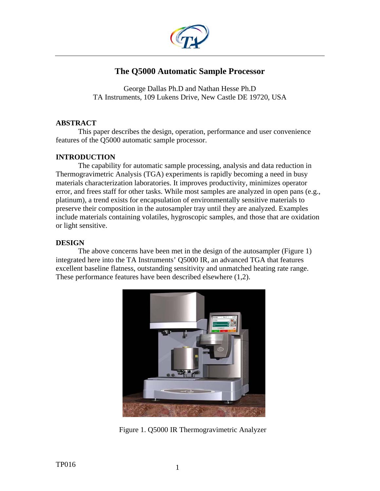

# **The Q5000 Automatic Sample Processor**

George Dallas Ph.D and Nathan Hesse Ph.D TA Instruments, 109 Lukens Drive, New Castle DE 19720, USA

### **ABSTRACT**

This paper describes the design, operation, performance and user convenience features of the Q5000 automatic sample processor.

## **INTRODUCTION**

The capability for automatic sample processing, analysis and data reduction in Thermogravimetric Analysis (TGA) experiments is rapidly becoming a need in busy materials characterization laboratories. It improves productivity, minimizes operator error, and frees staff for other tasks. While most samples are analyzed in open pans (e.g., platinum), a trend exists for encapsulation of environmentally sensitive materials to preserve their composition in the autosampler tray until they are analyzed. Examples include materials containing volatiles, hygroscopic samples, and those that are oxidation or light sensitive.

### **DESIGN**

The above concerns have been met in the design of the autosampler (Figure 1) integrated here into the TA Instruments' Q5000 IR, an advanced TGA that features excellent baseline flatness, outstanding sensitivity and unmatched heating rate range. These performance features have been described elsewhere (1,2).



Figure 1. Q5000 IR Thermogravimetric Analyzer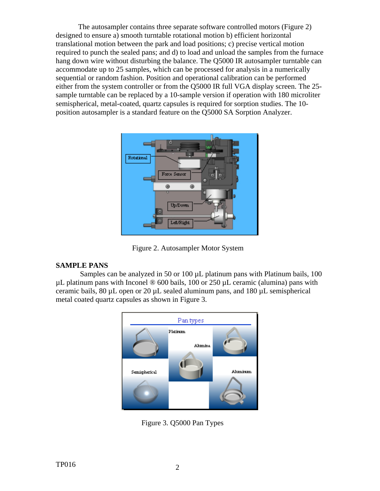The autosampler contains three separate software controlled motors (Figure 2) designed to ensure a) smooth turntable rotational motion b) efficient horizontal translational motion between the park and load positions; c) precise vertical motion required to punch the sealed pans; and d) to load and unload the samples from the furnace hang down wire without disturbing the balance. The Q5000 IR autosampler turntable can accommodate up to 25 samples, which can be processed for analysis in a numerically sequential or random fashion. Position and operational calibration can be performed either from the system controller or from the Q5000 IR full VGA display screen. The 25 sample turntable can be replaced by a 10-sample version if operation with 180 microliter semispherical, metal-coated, quartz capsules is required for sorption studies. The 10 position autosampler is a standard feature on the Q5000 SA Sorption Analyzer.



Figure 2. Autosampler Motor System

### **SAMPLE PANS**

Samples can be analyzed in 50 or 100  $\mu$ L platinum pans with Platinum bails, 100  $\mu$ L platinum pans with Inconel  $\otimes$  600 bails, 100 or 250  $\mu$ L ceramic (alumina) pans with ceramic bails,  $80 \mu L$  open or  $20 \mu L$  sealed aluminum pans, and  $180 \mu L$  semispherical metal coated quartz capsules as shown in Figure 3.



Figure 3. Q5000 Pan Types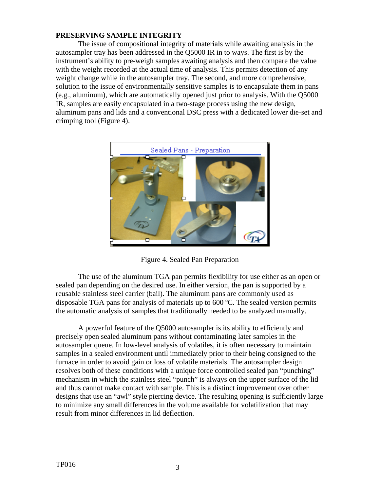#### **PRESERVING SAMPLE INTEGRITY**

The issue of compositional integrity of materials while awaiting analysis in the autosampler tray has been addressed in the Q5000 IR in to ways. The first is by the instrument's ability to pre-weigh samples awaiting analysis and then compare the value with the weight recorded at the actual time of analysis. This permits detection of any weight change while in the autosampler tray. The second, and more comprehensive, solution to the issue of environmentally sensitive samples is to encapsulate them in pans (e.g., aluminum), which are automatically opened just prior to analysis. With the Q5000 IR, samples are easily encapsulated in a two-stage process using the new design, aluminum pans and lids and a conventional DSC press with a dedicated lower die-set and crimping tool (Figure 4).



Figure 4. Sealed Pan Preparation

The use of the aluminum TGA pan permits flexibility for use either as an open or sealed pan depending on the desired use. In either version, the pan is supported by a reusable stainless steel carrier (bail). The aluminum pans are commonly used as disposable TGA pans for analysis of materials up to 600 ºC. The sealed version permits the automatic analysis of samples that traditionally needed to be analyzed manually.

A powerful feature of the Q5000 autosampler is its ability to efficiently and precisely open sealed aluminum pans without contaminating later samples in the autosampler queue. In low-level analysis of volatiles, it is often necessary to maintain samples in a sealed environment until immediately prior to their being consigned to the furnace in order to avoid gain or loss of volatile materials. The autosampler design resolves both of these conditions with a unique force controlled sealed pan "punching" mechanism in which the stainless steel "punch" is always on the upper surface of the lid and thus cannot make contact with sample. This is a distinct improvement over other designs that use an "awl" style piercing device. The resulting opening is sufficiently large to minimize any small differences in the volume available for volatilization that may result from minor differences in lid deflection.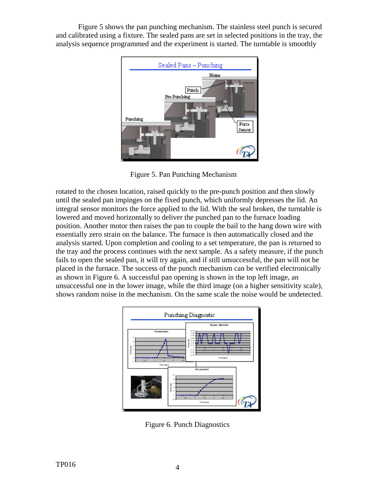Figure 5 shows the pan punching mechanism. The stainless steel punch is secured and calibrated using a fixture. The sealed pans are set in selected positions in the tray, the analysis sequence programmed and the experiment is started. The turntable is smoothly



Figure 5. Pan Punching Mechanism

rotated to the chosen location, raised quickly to the pre-punch position and then slowly until the sealed pan impinges on the fixed punch, which uniformly depresses the lid. An integral sensor monitors the force applied to the lid. With the seal broken, the turntable is lowered and moved horizontally to deliver the punched pan to the furnace loading position. Another motor then raises the pan to couple the bail to the hang down wire with essentially zero strain on the balance. The furnace is then automatically closed and the analysis started. Upon completion and cooling to a set temperature, the pan is returned to the tray and the process continues with the next sample. As a safety measure, if the punch fails to open the sealed pan, it will try again, and if still unsuccessful, the pan will not be placed in the furnace. The success of the punch mechanism can be verified electronically as shown in Figure 6. A successful pan opening is shown in the top left image, an unsuccessful one in the lower image, while the third image (on a higher sensitivity scale), shows random noise in the mechanism. On the same scale the noise would be undetected.



Figure 6. Punch Diagnostics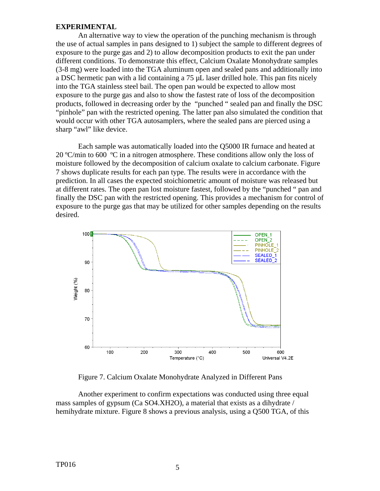#### **EXPERIMENTAL**

An alternative way to view the operation of the punching mechanism is through the use of actual samples in pans designed to 1) subject the sample to different degrees of exposure to the purge gas and 2) to allow decomposition products to exit the pan under different conditions. To demonstrate this effect, Calcium Oxalate Monohydrate samples (3-8 mg) were loaded into the TGA aluminum open and sealed pans and additionally into a DSC hermetic pan with a lid containing a 75 µL laser drilled hole. This pan fits nicely into the TGA stainless steel bail. The open pan would be expected to allow most exposure to the purge gas and also to show the fastest rate of loss of the decomposition products, followed in decreasing order by the "punched " sealed pan and finally the DSC "pinhole" pan with the restricted opening. The latter pan also simulated the condition that would occur with other TGA autosamplers, where the sealed pans are pierced using a sharp "awl" like device.

Each sample was automatically loaded into the Q5000 IR furnace and heated at 20 ºC/min to 600 ºC in a nitrogen atmosphere. These conditions allow only the loss of moisture followed by the decomposition of calcium oxalate to calcium carbonate. Figure 7 shows duplicate results for each pan type. The results were in accordance with the prediction. In all cases the expected stoichiometric amount of moisture was released but at different rates. The open pan lost moisture fastest, followed by the "punched " pan and finally the DSC pan with the restricted opening. This provides a mechanism for control of exposure to the purge gas that may be utilized for other samples depending on the results desired.



Figure 7. Calcium Oxalate Monohydrate Analyzed in Different Pans

Another experiment to confirm expectations was conducted using three equal mass samples of gypsum (Ca SO4.XH2O), a material that exists as a dihydrate / hemihydrate mixture. Figure 8 shows a previous analysis, using a Q500 TGA, of this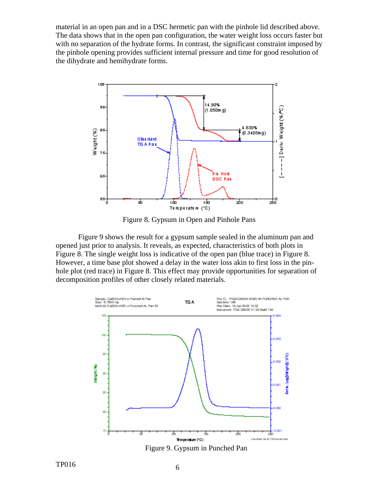material in an open pan and in a DSC hermetic pan with the pinhole lid described above. The data shows that in the open pan configuration, the water weight loss occurs faster but with no separation of the hydrate forms. In contrast, the significant constraint imposed by the pinhole opening provides sufficient internal pressure and time for good resolution of the dihydrate and hemihydrate forms.



Figure 8. Gypsum in Open and Pinhole Pans

Figure 9 shows the result for a gypsum sample sealed in the aluminum pan and opened just prior to analysis. It reveals, as expected, characteristics of both plots in Figure 8. The single weight loss is indicative of the open pan (blue trace) in Figure 8. However, a time base plot showed a delay in the water loss akin to first loss in the pinhole plot (red trace) in Figure 8. This effect may provide opportunities for separation of decomposition profiles of other closely related materials.



 $TP016$  6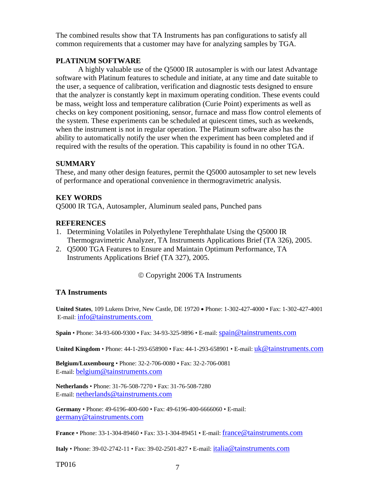The combined results show that TA Instruments has pan configurations to satisfy all common requirements that a customer may have for analyzing samples by TGA.

#### **PLATINUM SOFTWARE**

A highly valuable use of the Q5000 IR autosampler is with our latest Advantage software with Platinum features to schedule and initiate, at any time and date suitable to the user, a sequence of calibration, verification and diagnostic tests designed to ensure that the analyzer is constantly kept in maximum operating condition. These events could be mass, weight loss and temperature calibration (Curie Point) experiments as well as checks on key component positioning, sensor, furnace and mass flow control elements of the system. These experiments can be scheduled at quiescent times, such as weekends, when the instrument is not in regular operation. The Platinum software also has the ability to automatically notify the user when the experiment has been completed and if required with the results of the operation. This capability is found in no other TGA.

### **SUMMARY**

These, and many other design features, permit the Q5000 autosampler to set new levels of performance and operational convenience in thermogravimetric analysis.

#### **KEY WORDS**

Q5000 IR TGA, Autosampler, Aluminum sealed pans, Punched pans

### **REFERENCES**

- 1. Determining Volatiles in Polyethylene Terephthalate Using the Q5000 IR Thermogravimetric Analyzer, TA Instruments Applications Brief (TA 326), 2005.
- 2. Q5000 TGA Features to Ensure and Maintain Optimum Performance, TA Instruments Applications Brief (TA 327), 2005.

#### © Copyright 2006 TA Instruments

#### **TA Instruments**

**United States**, 109 Lukens Drive, New Castle, DE 19720 • Phone: 1-302-427-4000 • Fax: 1-302-427-4001 E-mail: info@tainstruments.com

**Spain** • Phone: 34-93-600-9300 • Fax: 34-93-325-9896 • E-mail: spain@tainstruments.com

**United Kingdom •** Phone: 44-1-293-658900 • Fax: 44-1-293-658901 • E-mail: uk@tainstruments.com

**Belgium/Luxembourg** • Phone: 32-2-706-0080 • Fax: 32-2-706-0081 E-mail: belgium@tainstruments.com

**Netherlands** • Phone: 31-76-508-7270 • Fax: 31-76-508-7280 E-mail: [netherlands@tainstruments.com](mailto:netherlands@tainstruments.com)

**Germany** • Phone: 49-6196-400-600 • Fax: 49-6196-400-6666060 • E-mail: [germany@tainstruments.com](mailto:germany@tainstruments.com)

**France** • Phone: 33-1-304-89460 • Fax: 33-1-304-89451 • E-mail: [france@tainstruments.com](mailto:france@tainstruments.com)

**Italy** • Phone: 39-02-2742-11 • Fax: 39-02-2501-827 • E-mail: [italia@tainstruments.com](mailto:italia@tainstruments.com)